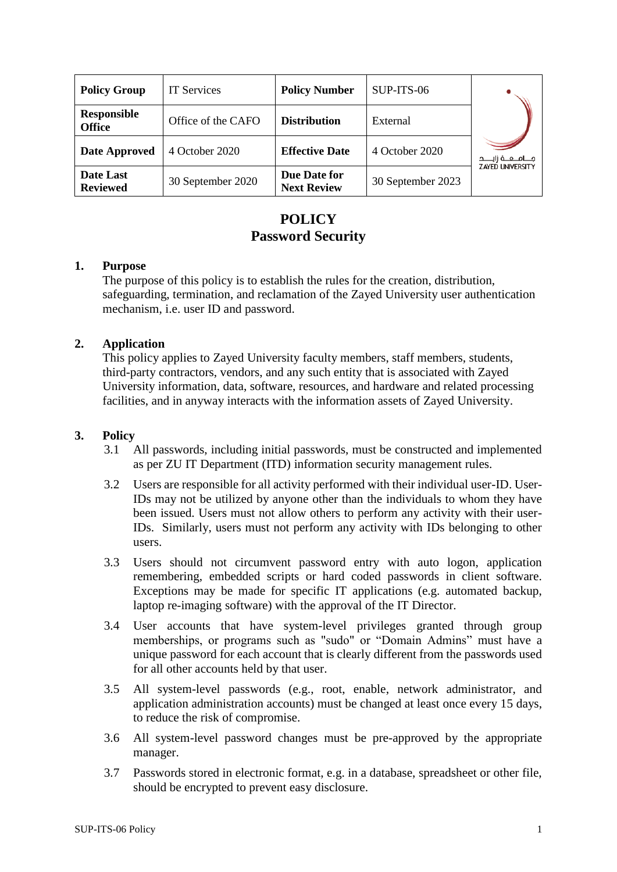| <b>Policy Group</b>                 | <b>IT Services</b> | <b>Policy Number</b>               | SUP-ITS-06        |                          |
|-------------------------------------|--------------------|------------------------------------|-------------------|--------------------------|
| <b>Responsible</b><br><b>Office</b> | Office of the CAFO | <b>Distribution</b>                | External          |                          |
| Date Approved                       | 4 October 2020     | <b>Effective Date</b>              | 4 October 2020    | مــــامـــــه زايــــــد |
| Date Last<br><b>Reviewed</b>        | 30 September 2020  | Due Date for<br><b>Next Review</b> | 30 September 2023 | <b>ZAYED UNIVERSITY</b>  |

# **POLICY Password Security**

### **1. Purpose**

The purpose of this policy is to establish the rules for the creation, distribution, safeguarding, termination, and reclamation of the Zayed University user authentication mechanism, i.e. user ID and password.

### **2. Application**

This policy applies to Zayed University faculty members, staff members, students, third-party contractors, vendors, and any such entity that is associated with Zayed University information, data, software, resources, and hardware and related processing facilities, and in anyway interacts with the information assets of Zayed University.

## **3. Policy**

- 3.1 All passwords, including initial passwords, must be constructed and implemented as per ZU IT Department (ITD) information security management rules.
- 3.2 Users are responsible for all activity performed with their individual user-ID. User-IDs may not be utilized by anyone other than the individuals to whom they have been issued. Users must not allow others to perform any activity with their user-IDs. Similarly, users must not perform any activity with IDs belonging to other users.
- 3.3 Users should not circumvent password entry with auto logon, application remembering, embedded scripts or hard coded passwords in client software. Exceptions may be made for specific IT applications (e.g. automated backup, laptop re-imaging software) with the approval of the IT Director.
- 3.4 User accounts that have system-level privileges granted through group memberships, or programs such as "sudo" or "Domain Admins" must have a unique password for each account that is clearly different from the passwords used for all other accounts held by that user.
- 3.5 All system-level passwords (e.g., root, enable, network administrator, and application administration accounts) must be changed at least once every 15 days, to reduce the risk of compromise.
- 3.6 All system-level password changes must be pre-approved by the appropriate manager.
- 3.7 Passwords stored in electronic format, e.g. in a database, spreadsheet or other file, should be encrypted to prevent easy disclosure.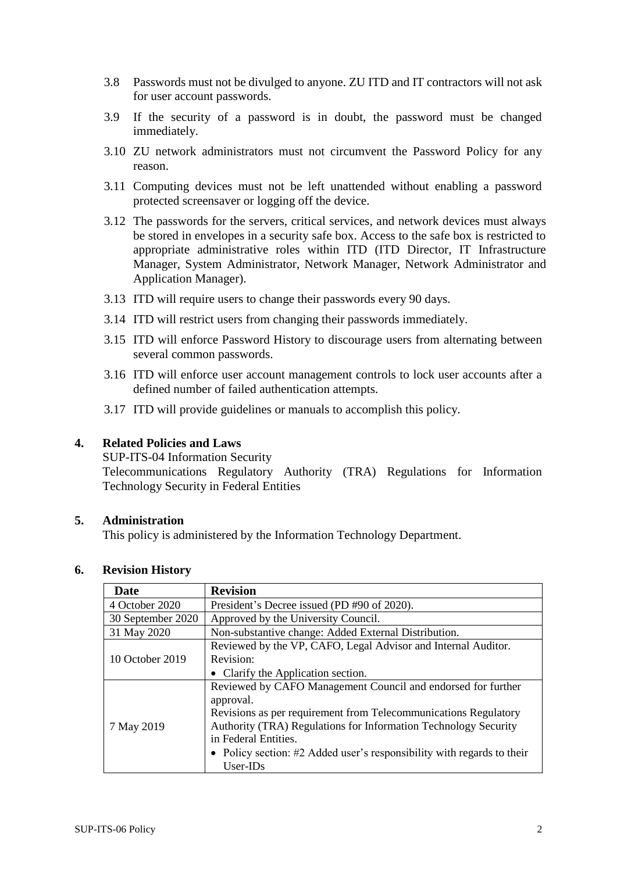- 3.8 Passwords must not be divulged to anyone. ZU ITD and IT contractors will not ask for user account passwords.
- 3.9 If the security of a password is in doubt, the password must be changed immediately.
- 3.10 ZU network administrators must not circumvent the Password Policy for any reason.
- 3.11 Computing devices must not be left unattended without enabling a password protected screensaver or logging off the device.
- 3.12 The passwords for the servers, critical services, and network devices must always be stored in envelopes in a security safe box. Access to the safe box is restricted to appropriate administrative roles within ITD (ITD Director, IT Infrastructure Manager, System Administrator, Network Manager, Network Administrator and Application Manager).
- 3.13 ITD will require users to change their passwords every 90 days.
- 3.14 ITD will restrict users from changing their passwords immediately.
- 3.15 ITD will enforce Password History to discourage users from alternating between several common passwords.
- 3.16 ITD will enforce user account management controls to lock user accounts after a defined number of failed authentication attempts.
- 3.17 ITD will provide guidelines or manuals to accomplish this policy.

#### **4. Related Policies and Laws**

SUP-ITS-04 Information Security

Telecommunications Regulatory Authority (TRA) Regulations for Information Technology Security in Federal Entities

#### **5. Administration**

This policy is administered by the Information Technology Department.

# **6. Revision History**

| Date              | <b>Revision</b>                                                        |  |  |
|-------------------|------------------------------------------------------------------------|--|--|
| 4 October 2020    | President's Decree issued (PD #90 of 2020).                            |  |  |
| 30 September 2020 | Approved by the University Council.                                    |  |  |
| 31 May 2020       | Non-substantive change: Added External Distribution.                   |  |  |
| 10 October 2019   | Reviewed by the VP, CAFO, Legal Advisor and Internal Auditor.          |  |  |
|                   | Revision:                                                              |  |  |
|                   | • Clarify the Application section.                                     |  |  |
|                   | Reviewed by CAFO Management Council and endorsed for further           |  |  |
|                   | approval.                                                              |  |  |
|                   | Revisions as per requirement from Telecommunications Regulatory        |  |  |
| 7 May 2019        | Authority (TRA) Regulations for Information Technology Security        |  |  |
|                   | in Federal Entities.                                                   |  |  |
|                   | • Policy section: #2 Added user's responsibility with regards to their |  |  |
|                   | $User-IDs$                                                             |  |  |